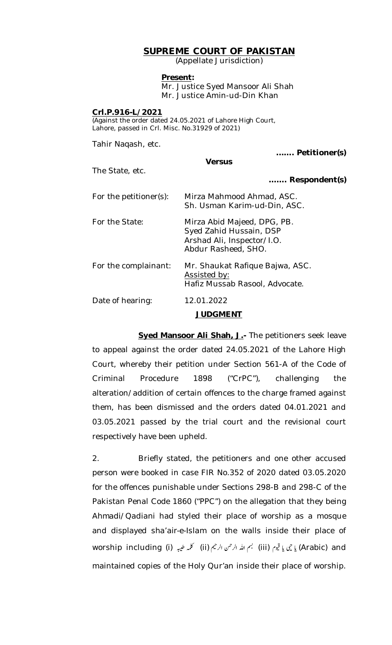# **SUPREME COURT OF PAKISTAN**

(Appellate Jurisdiction)

### **Present:**

Mr. Justice Syed Mansoor Ali Shah Mr. Justice Amin-ud-Din Khan

### **Crl.P.916-L/2021**

(Against the order dated 24.05.2021 of Lahore High Court, Lahore, passed in Crl. Misc. No.31929 of 2021)

Tahir Naqash, etc. **...…. Petitioner(s) Versus** The State, etc. **……. Respondent(s)** For the petitioner(s): Mirza Mahmood Ahmad, ASC. Sh. Usman Karim-ud-Din, ASC. For the State: Mirza Abid Majeed, DPG, PB. Syed Zahid Hussain, DSP Arshad Ali, Inspector/I.O. Abdur Rasheed, SHO. For the complainant: Mr. Shaukat Rafique Bajwa, ASC. Assisted by: Hafiz Mussab Rasool, Advocate. Date of hearing: 12.01.2022

## **JUDGMENT**

**Syed Mansoor Ali Shah, J.-** The petitioners seek leave to appeal against the order dated 24.05.2021 of the Lahore High Court, whereby their petition under Section 561-A of the Code of Criminal Procedure 1898 ("CrPC"), challenging the alteration/addition of certain offences to the charge framed against them, has been dismissed and the orders dated 04.01.2021 and 03.05.2021 passed by the trial court and the revisional court respectively have been upheld.

2. Briefly stated, the petitioners and one other accused person were booked in case FIR No.352 of 2020 dated 03.05.2020 for the offences punishable under Sections 298-B and 298-C of the Pakistan Penal Code 1860 ("PPC") on the allegation that they being *Ahmadi/Qadiani* had styled their place of worship as a mosque and displayed *sha'air-e-Islam* on the walls inside their place of worship including (i) بي إِنهِم (iii) بي الله الرحمن الرحيم (iii) كلمه طيبه (iii) and maintained copies of the Holy Qur'an inside their place of worship.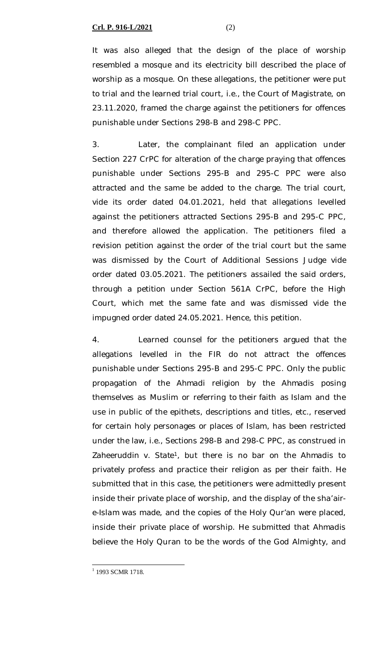### **Crl. P. 916-L/2021** (2)

It was also alleged that the design of the place of worship resembled a mosque and its electricity bill described the place of worship as a mosque. On these allegations, the petitioner were put to trial and the learned trial court, i.e., the Court of Magistrate, on 23.11.2020, framed the charge against the petitioners for offences punishable under Sections 298-B and 298-C PPC.

3. Later, the complainant filed an application under Section 227 CrPC for alteration of the charge praying that offences punishable under Sections 295-B and 295-C PPC were also attracted and the same be added to the charge. The trial court, vide its order dated 04.01.2021, held that allegations levelled against the petitioners attracted Sections 295-B and 295-C PPC, and therefore allowed the application. The petitioners filed a revision petition against the order of the trial court but the same was dismissed by the Court of Additional Sessions Judge vide order dated 03.05.2021. The petitioners assailed the said orders, through a petition under Section 561A CrPC, before the High Court, which met the same fate and was dismissed vide the impugned order dated 24.05.2021. Hence, this petition.

4. Learned counsel for the petitioners argued that the allegations levelled in the FIR do not attract the offences punishable under Sections 295-B and 295-C PPC. Only the public propagation of the *Ahmadi* religion by the *Ahmadis* posing themselves as Muslim or referring to their faith as Islam and the use in public of the epithets, descriptions and titles, etc., reserved for certain holy personages or places of Islam, has been restricted under the law, i.e., Sections 298-B and 298-C PPC, as construed in *Zaheeruddin v. State<sup>1</sup>*, but there is no bar on the *Ahmadis* to privately profess and practice their religion as per their faith. He submitted that in this case, the petitioners were admittedly present inside their private place of worship, and the display of the *sha'aire-Islam* was made, and the copies of the Holy Qur'an were placed, inside their private place of worship. He submitted that *Ahmadis*  believe the Holy Quran to be the words of the God Almighty, and

<sup>&</sup>lt;sup>1</sup> 1993 SCMR 1718.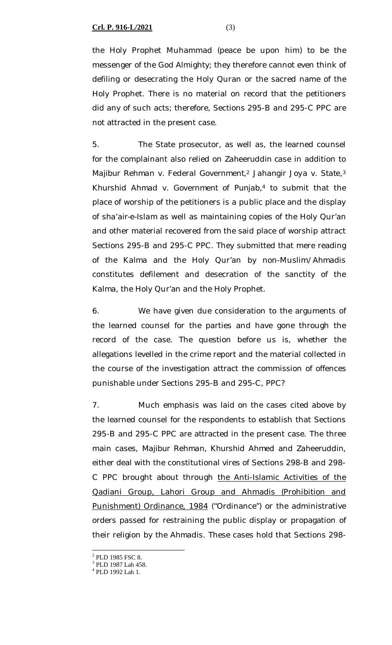**Crl. P. 916-L/2021** (3)

the Holy Prophet Muhammad (peace be upon him) to be the messenger of the God Almighty; they therefore cannot even think of defiling or desecrating the Holy Quran or the sacred name of the Holy Prophet. There is no material on record that the petitioners did any of such acts; therefore, Sections 295-B and 295-C PPC are not attracted in the present case.

5. The State prosecutor, as well as, the learned counsel for the complainant also relied on *Zaheeruddin case* in addition to *Majibur Rehman v. Federal Government,<sup>2</sup> Jahangir Joya v. State,<sup>3</sup> Khurshid Ahmad v. Government of Punjab,<sup>4</sup>* to submit that the place of worship of the petitioners is a public place and the display of *sha'air-e-Islam* as well as maintaining copies of the Holy Qur'an and other material recovered from the said place of worship attract Sections 295-B and 295-C PPC. They submitted that mere reading of the *Kalma* and the Holy Qur'an by non-Muslim/*Ahmadis* constitutes defilement and desecration of the sanctity of the *Kalma,* the Holy Qur'an and the Holy Prophet.

6. We have given due consideration to the arguments of the learned counsel for the parties and have gone through the record of the case. The question before us is, whether the allegations levelled in the crime report and the material collected in the course of the investigation attract the commission of offences punishable under Sections 295-B and 295-C, PPC?

7. Much emphasis was laid on the cases cited above by the learned counsel for the respondents to establish that Sections 295-B and 295-C PPC are attracted in the present case. The three main cases, *Majibur Rehman, Khurshid Ahmed* and *Zaheeruddin,* either deal with the constitutional vires of Sections 298-B and 298- C PPC brought about through the Anti-Islamic Activities of the Qadiani Group, Lahori Group and Ahmadis (Prohibition and Punishment) Ordinance, 1984 ("Ordinance") or the administrative orders passed for restraining the public display or propagation of their religion by the *Ahmadis*. These cases hold that Sections 298-

<sup>&</sup>lt;sup>2</sup> PLD 1985 FSC 8.

<sup>3</sup> PLD 1987 Lah 458.

<sup>4</sup> PLD 1992 Lah 1.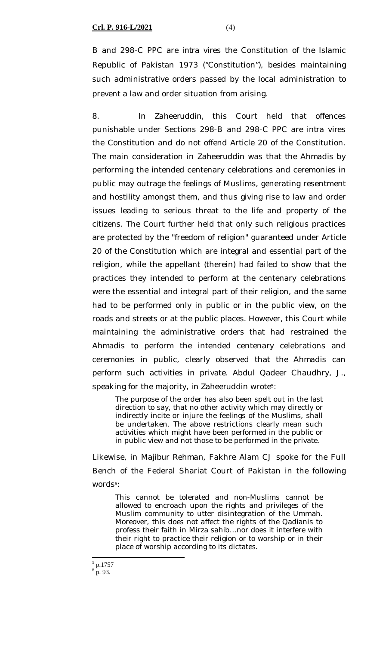B and 298-C PPC are *intra vires* the Constitution of the Islamic Republic of Pakistan 1973 ("Constitution"), besides maintaining such administrative orders passed by the local administration to prevent a law and order situation from arising.

*8.* In *Zaheeruddin,* this Court held that offences punishable under Sections 298-B and 298-C PPC are *intra vires* the Constitution and do not offend Article 20 of the Constitution. The main consideration in *Zaheeruddin* was that the *Ahmadis* by performing the intended centenary celebrations and ceremonies in public may outrage the feelings of Muslims, generating resentment and hostility amongst them, and thus giving rise to law and order issues leading to serious threat to the life and property of the citizens. The Court further held that only such religious practices are protected by the "freedom of religion" guaranteed under Article 20 of the Constitution which are integral and essential part of the religion, while the appellant (therein) had failed to show that the practices they intended to perform at the centenary celebrations were the essential and integral part of their religion, and the same had to be performed only in public or in the public view, on the roads and streets or at the public places. However, this Court while maintaining the administrative orders that had restrained the *Ahmadis* to perform the intended centenary celebrations and ceremonies in public, clearly observed that the *Ahmadis* can perform such activities in private. Abdul Qadeer Chaudhry, J., speaking for the majority, in *Zaheeruddin* wrote5:

The purpose of the order has also been spelt out in the last direction to say, that no other activity which may directly or indirectly incite or injure the feelings of the Muslims, shall be undertaken. The above restrictions clearly mean such activities which might have been performed in the public or in public view and not those to be performed in the private.

Likewise, in *Majibur Rehman*, Fakhre Alam CJ spoke for the Full Bench of the Federal Shariat Court of Pakistan in the following words<sup>6</sup>:

This cannot be tolerated and non-Muslims cannot be allowed to encroach upon the rights and privileges of the Muslim community to utter disintegration of the Ummah. Moreover, this does not affect the rights of the Qadianis to profess their faith in Mirza sahib…nor does it interfere with their right to practice their religion or to worship or in their place of worship according to its dictates.

 $\overline{a}$ 5 p.1757  $6^{6}$  p. 93.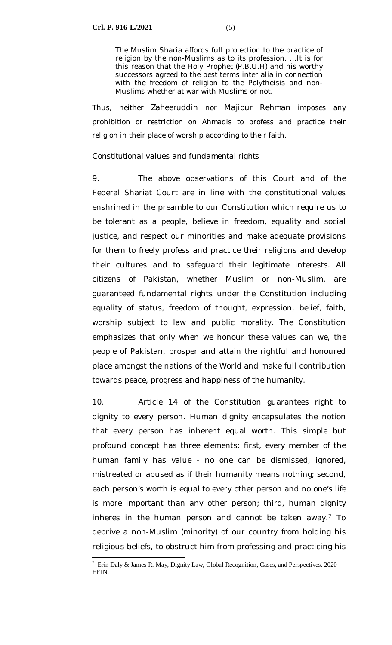The Muslim Sharia affords full protection to the practice of religion by the non-Muslims as to its profession. …It is for this reason that the Holy Prophet (P.B.U.H) and his worthy successors agreed to the best terms inter alia in connection with the freedom of religion to the Polytheisis and non-Muslims whether at war with Muslims or not.

Thus, neither *Zaheeruddin* nor *Majibur Rehman* imposes any prohibition or restriction on *Ahmadis* to profess and practice their religion in their place of worship according to their faith.

### *Constitutional values and fundamental rights*

9. The above observations of this Court and of the Federal Shariat Court are in line with the constitutional values enshrined in the preamble to our Constitution which require us to be tolerant as a people, believe in freedom, equality and social justice, and respect our minorities and make adequate provisions for them to freely profess and practice their religions and develop their cultures and to safeguard their legitimate interests. All citizens of Pakistan, whether Muslim or non-Muslim, are guaranteed fundamental rights under the Constitution including equality of status, freedom of thought, expression, belief, faith, worship subject to law and public morality. The Constitution emphasizes that only when we honour these values can we, the people of Pakistan, prosper and attain the rightful and honoured place amongst the nations of the World and make full contribution towards peace, progress and happiness of the humanity.

10. Article 14 of the Constitution guarantees right to dignity to every person. Human dignity encapsulates the notion that every person has inherent equal worth. This simple but profound concept has three elements: first, every member of the human family has value - no one can be dismissed, ignored, mistreated or abused as if their humanity means nothing; second, each person's worth is equal to every other person and no one's life is more important than any other person; third, human dignity inheres in the human person and cannot be taken away. $7$  To deprive a non-Muslim (minority) of our country from holding his religious beliefs, to obstruct him from professing and practicing his

 $\overline{a}$  $7$  Erin Daly & James R. May, Dignity Law, Global Recognition, Cases, and Perspectives. 2020 HEIN.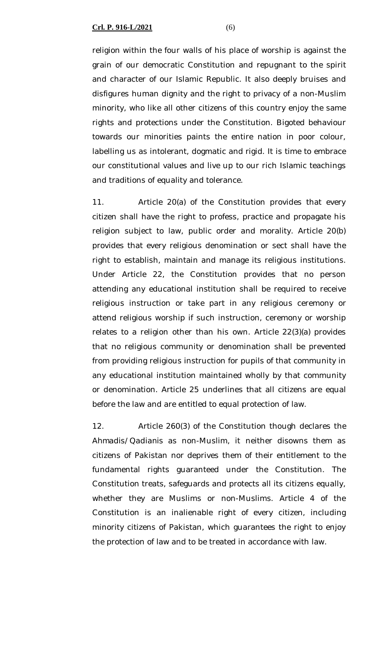religion within the four walls of his place of worship is against the grain of our democratic Constitution and repugnant to the spirit and character of our Islamic Republic. It also deeply bruises and disfigures human dignity and the right to privacy of a non-Muslim minority, who like all other citizens of this country enjoy the same rights and protections under the Constitution. Bigoted behaviour towards our minorities paints the entire nation in poor colour, labelling us as intolerant, dogmatic and rigid. It is time to embrace our constitutional values and live up to our rich Islamic teachings and traditions of equality and tolerance.

11. Article 20(a) of the Constitution provides that every citizen shall have the right to profess, practice and propagate his religion subject to law, public order and morality. Article 20(b) provides that every religious denomination or sect shall have the right to establish, maintain and manage its religious institutions. Under Article 22, the Constitution provides that no person attending any educational institution shall be required to receive religious instruction or take part in any religious ceremony or attend religious worship if such instruction, ceremony or worship relates to a religion other than his own. Article 22(3)(a) provides that no religious community or denomination shall be prevented from providing religious instruction for pupils of that community in any educational institution maintained wholly by that community or denomination. Article 25 underlines that all citizens are equal before the law and are entitled to equal protection of law.

12. Article 260(3) of the Constitution though declares the *Ahmadis/Qadianis* as non-Muslim, it neither disowns them as citizens of Pakistan nor deprives them of their entitlement to the fundamental rights guaranteed under the Constitution. The Constitution treats, safeguards and protects all its citizens equally, whether they are Muslims or non-Muslims. Article 4 of the Constitution is an inalienable right of every citizen, including minority citizens of Pakistan, which guarantees the right to enjoy the protection of law and to be treated in accordance with law.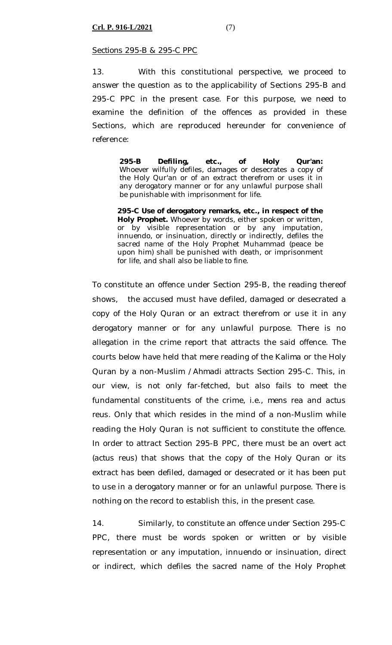### *Sections 295-B & 295-C PPC*

13. With this constitutional perspective, we proceed to answer the question as to the applicability of Sections 295-B and 295-C PPC in the present case. For this purpose, we need to examine the definition of the offences as provided in these Sections, which are reproduced hereunder for convenience of reference:

> **295-B Defiling, etc., of Holy Qur'an:** Whoever wilfully defiles, damages or desecrates a copy of the Holy Qur'an or of an extract therefrom or uses it in any derogatory manner or for any unlawful purpose shall be punishable with imprisonment for life.

> **295-C Use of derogatory remarks, etc., in respect of the Holy Prophet.** Whoever by words, either spoken or written, or by visible representation or by any imputation, innuendo, or insinuation, directly or indirectly, defiles the sacred name of the Holy Prophet Muhammad (peace be upon him) shall be punished with death, or imprisonment for life, and shall also be liable to fine.

To constitute an offence under Section 295-B, the reading thereof shows, the accused must have *defiled, damaged or desecrated* a copy of the Holy Quran or an extract therefrom or use it in any derogatory manner or for any unlawful purpose. There is no allegation in the crime report that attracts the said offence. The courts below have held that mere reading of the *Kalima* or the Holy Quran by a non-Muslim /*Ahmadi* attracts Section 295-C. This, in our view, is not only far-fetched, but also fails to meet the fundamental constituents of the crime, i.e., *mens rea* and *actus reus*. Only that which resides in the mind of a non-Muslim while reading the Holy Quran is not sufficient to constitute the offence. In order to attract Section 295-B PPC, there must be an overt act *(actus reus)* that shows that the copy of the Holy Quran or its extract has been defiled, damaged or desecrated or it has been put to use in a derogatory manner or for an unlawful purpose. There is nothing on the record to establish this, in the present case.

14. Similarly, to constitute an offence under Section 295-C PPC, there must be words spoken or written or by visible representation or any imputation, innuendo or insinuation, direct or indirect, which defiles the sacred name of the Holy Prophet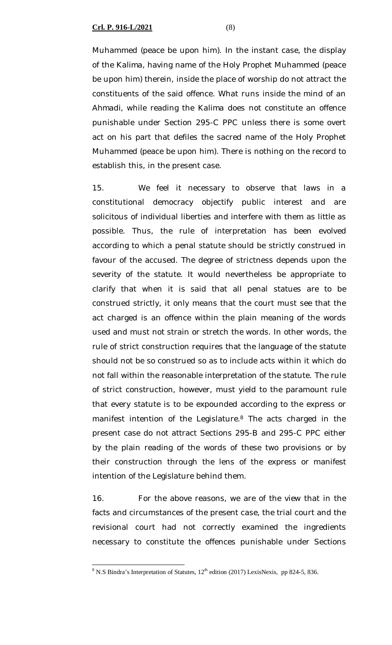Muhammed (peace be upon him). In the instant case, the display of the *Kalima,* having name of the Holy Prophet Muhammed (peace be upon him) therein, inside the place of worship do not attract the constituents of the said offence. What runs inside the mind of an *Ahmadi,* while reading the *Kalima* does not constitute an offence punishable under Section 295-C PPC unless there is some overt act on his part that defiles the sacred name of the Holy Prophet Muhammed (peace be upon him). There is nothing on the record to establish this, in the present case.

15. We feel it necessary to observe that laws in a constitutional democracy objectify public interest and are solicitous of individual liberties and interfere with them as little as possible. Thus, the rule of interpretation has been evolved according to which a penal statute should be strictly construed in favour of the accused. The degree of strictness depends upon the severity of the statute. It would nevertheless be appropriate to clarify that when it is said that all penal statues are to be construed strictly, it only means that the court must see that the act charged is an offence within the plain meaning of the words used and must not strain or stretch the words. In other words, the rule of strict construction requires that the language of the statute should not be so construed so as to include acts within it which do not fall within the reasonable interpretation of the statute. The rule of strict construction, however, must yield to the paramount rule that every statute is to be expounded according to the express or manifest intention of the Legislature.<sup>8</sup> The acts charged in the present case do not attract Sections 295-B and 295-C PPC either by the plain reading of the words of these two provisions or by their construction through the lens of the express or manifest intention of the Legislature behind them.

16. For the above reasons, we are of the view that in the facts and circumstances of the present case, the trial court and the revisional court had not correctly examined the ingredients necessary to constitute the offences punishable under Sections

 $\overline{a}$  $8$  N.S Bindra's Interpretation of Statutes,  $12<sup>th</sup>$  edition (2017) LexisNexis, pp 824-5, 836.